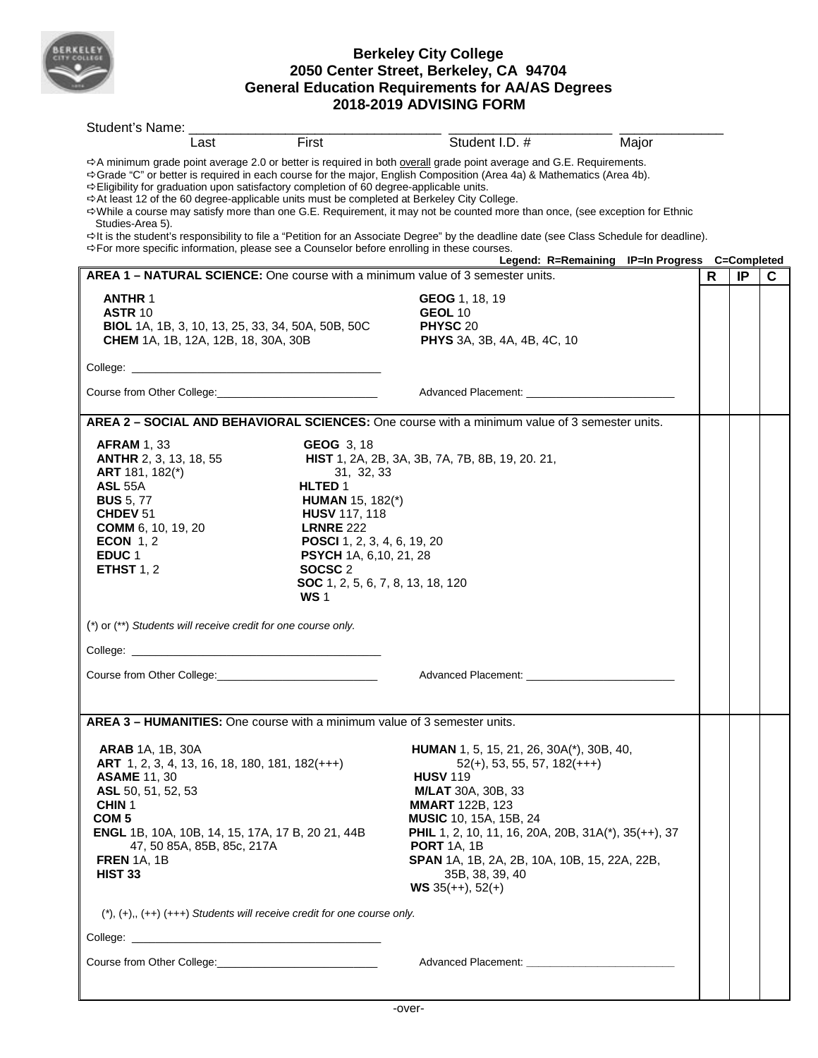

## **Berkeley City College 2050 Center Street, Berkeley, CA 94704 General Education Requirements for AA/AS Degrees 2018-2019 ADVISING FORM**

| Student's Name:                                                                                                                                                                                                                |                                                                                                                                  |                                                                                                                                                                                                                                                      |                                                                                                                                                                                                                                                                                                                                                                                                                                                                                                                                                                                                                                                                                                                                   |       |   |    |   |
|--------------------------------------------------------------------------------------------------------------------------------------------------------------------------------------------------------------------------------|----------------------------------------------------------------------------------------------------------------------------------|------------------------------------------------------------------------------------------------------------------------------------------------------------------------------------------------------------------------------------------------------|-----------------------------------------------------------------------------------------------------------------------------------------------------------------------------------------------------------------------------------------------------------------------------------------------------------------------------------------------------------------------------------------------------------------------------------------------------------------------------------------------------------------------------------------------------------------------------------------------------------------------------------------------------------------------------------------------------------------------------------|-------|---|----|---|
|                                                                                                                                                                                                                                | Last                                                                                                                             | First                                                                                                                                                                                                                                                | Student I.D. #                                                                                                                                                                                                                                                                                                                                                                                                                                                                                                                                                                                                                                                                                                                    | Major |   |    |   |
| Studies-Area 5).                                                                                                                                                                                                               |                                                                                                                                  | → Eligibility for graduation upon satisfactory completion of 60 degree-applicable units.                                                                                                                                                             | $\Rightarrow$ A minimum grade point average 2.0 or better is required in both overall grade point average and G.E. Requirements.<br>→ Grade "C" or better is required in each course for the major, English Composition (Area 4a) & Mathematics (Area 4b).<br>→ At least 12 of the 60 degree-applicable units must be completed at Berkeley City College.<br>⇔While a course may satisfy more than one G.E. Requirement, it may not be counted more than once, (see exception for Ethnic<br>⇔It is the student's responsibility to file a "Petition for an Associate Degree" by the deadline date (see Class Schedule for deadline).<br>⇒For more specific information, please see a Counselor before enrolling in these courses. |       |   |    |   |
|                                                                                                                                                                                                                                |                                                                                                                                  |                                                                                                                                                                                                                                                      | Legend: R=Remaining IP=In Progress C=Completed                                                                                                                                                                                                                                                                                                                                                                                                                                                                                                                                                                                                                                                                                    |       |   |    |   |
|                                                                                                                                                                                                                                |                                                                                                                                  |                                                                                                                                                                                                                                                      | AREA 1 - NATURAL SCIENCE: One course with a minimum value of 3 semester units.                                                                                                                                                                                                                                                                                                                                                                                                                                                                                                                                                                                                                                                    |       | R | IP | С |
| <b>ANTHR 1</b><br><b>ASTR 10</b>                                                                                                                                                                                               | BIOL 1A, 1B, 3, 10, 13, 25, 33, 34, 50A, 50B, 50C<br><b>CHEM</b> 1A, 1B, 12A, 12B, 18, 30A, 30B                                  |                                                                                                                                                                                                                                                      | GEOG 1, 18, 19<br>GEOL 10<br>PHYSC 20<br><b>PHYS</b> 3A, 3B, 4A, 4B, 4C, 10                                                                                                                                                                                                                                                                                                                                                                                                                                                                                                                                                                                                                                                       |       |   |    |   |
|                                                                                                                                                                                                                                |                                                                                                                                  |                                                                                                                                                                                                                                                      |                                                                                                                                                                                                                                                                                                                                                                                                                                                                                                                                                                                                                                                                                                                                   |       |   |    |   |
|                                                                                                                                                                                                                                |                                                                                                                                  |                                                                                                                                                                                                                                                      | Advanced Placement: National Placement Control Placement Control Placement Control Placement Control Placement                                                                                                                                                                                                                                                                                                                                                                                                                                                                                                                                                                                                                    |       |   |    |   |
|                                                                                                                                                                                                                                |                                                                                                                                  |                                                                                                                                                                                                                                                      | AREA 2 - SOCIAL AND BEHAVIORAL SCIENCES: One course with a minimum value of 3 semester units.                                                                                                                                                                                                                                                                                                                                                                                                                                                                                                                                                                                                                                     |       |   |    |   |
| <b>AFRAM 1, 33</b><br><b>ANTHR</b> 2, 3, 13, 18, 55<br>ART 181, 182(*)<br><b>ASL 55A</b><br><b>BUS</b> 5, 77<br>CHDEV <sub>51</sub><br><b>COMM</b> 6, 10, 19, 20<br><b>ECON 1, 2</b><br>EDUC <sub>1</sub><br><b>ETHST 1, 2</b> |                                                                                                                                  | <b>GEOG</b> 3, 18<br>31, 32, 33<br>HLTED 1<br><b>HUMAN</b> 15, 182(*)<br><b>HUSV 117, 118</b><br><b>LRNRE 222</b><br>POSCI 1, 2, 3, 4, 6, 19, 20<br>PSYCH 1A, 6, 10, 21, 28<br>SOCSC <sub>2</sub><br>SOC 1, 2, 5, 6, 7, 8, 13, 18, 120<br><b>WS1</b> | HIST 1, 2A, 2B, 3A, 3B, 7A, 7B, 8B, 19, 20. 21,                                                                                                                                                                                                                                                                                                                                                                                                                                                                                                                                                                                                                                                                                   |       |   |    |   |
|                                                                                                                                                                                                                                | (*) or (**) Students will receive credit for one course only.                                                                    |                                                                                                                                                                                                                                                      |                                                                                                                                                                                                                                                                                                                                                                                                                                                                                                                                                                                                                                                                                                                                   |       |   |    |   |
|                                                                                                                                                                                                                                |                                                                                                                                  |                                                                                                                                                                                                                                                      |                                                                                                                                                                                                                                                                                                                                                                                                                                                                                                                                                                                                                                                                                                                                   |       |   |    |   |
|                                                                                                                                                                                                                                |                                                                                                                                  |                                                                                                                                                                                                                                                      |                                                                                                                                                                                                                                                                                                                                                                                                                                                                                                                                                                                                                                                                                                                                   |       |   |    |   |
|                                                                                                                                                                                                                                |                                                                                                                                  |                                                                                                                                                                                                                                                      |                                                                                                                                                                                                                                                                                                                                                                                                                                                                                                                                                                                                                                                                                                                                   |       |   |    |   |
| <b>ARAB</b> 1A, 1B, 30A<br><b>ASAME 11, 30</b><br>ASL 50, 51, 52, 53<br>CHIN <sub>1</sub><br>COM <sub>5</sub><br><b>FREN 1A, 1B</b><br><b>HIST 33</b>                                                                          | ART 1, 2, 3, 4, 13, 16, 18, 180, 181, 182(+++)<br>ENGL 1B, 10A, 10B, 14, 15, 17A, 17 B, 20 21, 44B<br>47, 50 85A, 85B, 85c, 217A |                                                                                                                                                                                                                                                      | AREA 3 - HUMANITIES: One course with a minimum value of 3 semester units.<br><b>HUMAN</b> 1, 5, 15, 21, 26, 30A(*), 30B, 40,<br>$52(+), 53, 55, 57, 182(+++)$<br><b>HUSV 119</b><br><b>M/LAT</b> 30A, 30B, 33<br><b>MMART</b> 122B, 123<br><b>MUSIC</b> 10, 15A, 15B, 24<br><b>PHIL</b> 1, 2, 10, 11, 16, 20A, 20B, 31A(*), 35(++), 37<br><b>PORT 1A, 1B</b><br>SPAN 1A, 1B, 2A, 2B, 10A, 10B, 15, 22A, 22B,<br>35B, 38, 39, 40<br><b>WS</b> 35(++), 52(+)                                                                                                                                                                                                                                                                        |       |   |    |   |
|                                                                                                                                                                                                                                |                                                                                                                                  | $(\dagger), (+), (++)$ $(++)$ Students will receive credit for one course only.                                                                                                                                                                      |                                                                                                                                                                                                                                                                                                                                                                                                                                                                                                                                                                                                                                                                                                                                   |       |   |    |   |
|                                                                                                                                                                                                                                |                                                                                                                                  |                                                                                                                                                                                                                                                      |                                                                                                                                                                                                                                                                                                                                                                                                                                                                                                                                                                                                                                                                                                                                   |       |   |    |   |
|                                                                                                                                                                                                                                |                                                                                                                                  |                                                                                                                                                                                                                                                      |                                                                                                                                                                                                                                                                                                                                                                                                                                                                                                                                                                                                                                                                                                                                   |       |   |    |   |
|                                                                                                                                                                                                                                |                                                                                                                                  |                                                                                                                                                                                                                                                      |                                                                                                                                                                                                                                                                                                                                                                                                                                                                                                                                                                                                                                                                                                                                   |       |   |    |   |